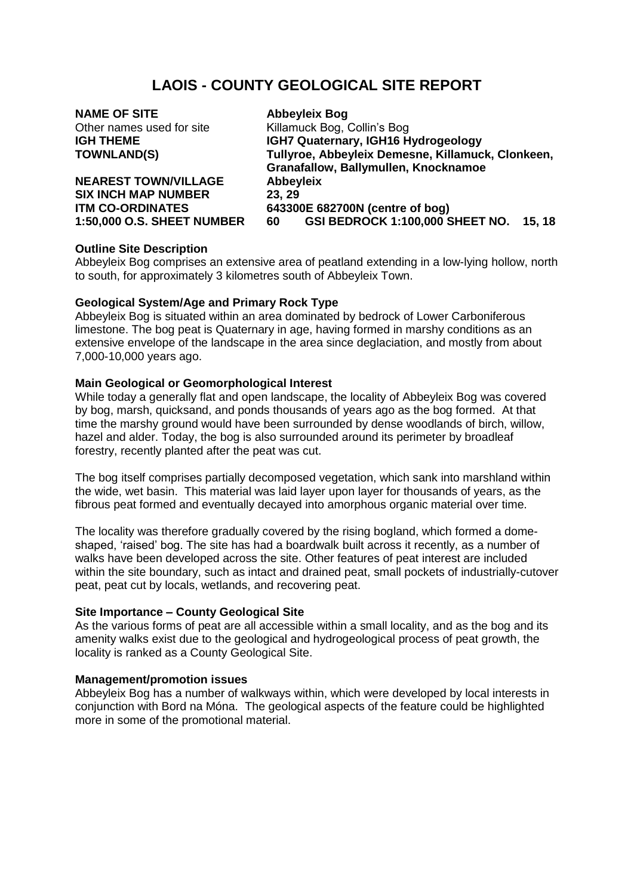# **LAOIS - COUNTY GEOLOGICAL SITE REPORT**

**NAME OF SITE Abbeyleix Bog**

**NEAREST TOWN/VILLAGE Abbeyleix SIX INCH MAP NUMBER 23, 29**

Other names used for site Killamuck Bog, Collin's Bog **IGH THEME IGH7 Quaternary, IGH16 Hydrogeology TOWNLAND(S) Tullyroe, Abbeyleix Demesne, Killamuck, Clonkeen, Granafallow, Ballymullen, Knocknamoe ITM CO-ORDINATES 643300E 682700N (centre of bog) 1:50,000 O.S. SHEET NUMBER 60 GSI BEDROCK 1:100,000 SHEET NO. 15, 18** 

# **Outline Site Description**

Abbeyleix Bog comprises an extensive area of peatland extending in a low-lying hollow, north to south, for approximately 3 kilometres south of Abbeyleix Town.

## **Geological System/Age and Primary Rock Type**

Abbeyleix Bog is situated within an area dominated by bedrock of Lower Carboniferous limestone. The bog peat is Quaternary in age, having formed in marshy conditions as an extensive envelope of the landscape in the area since deglaciation, and mostly from about 7,000-10,000 years ago.

# **Main Geological or Geomorphological Interest**

While today a generally flat and open landscape, the locality of Abbeyleix Bog was covered by bog, marsh, quicksand, and ponds thousands of years ago as the bog formed. At that time the marshy ground would have been surrounded by dense woodlands of birch, willow, hazel and alder. Today, the bog is also surrounded around its perimeter by broadleaf forestry, recently planted after the peat was cut.

The bog itself comprises partially decomposed vegetation, which sank into marshland within the wide, wet basin. This material was laid layer upon layer for thousands of years, as the fibrous peat formed and eventually decayed into amorphous organic material over time.

The locality was therefore gradually covered by the rising bogland, which formed a domeshaped, 'raised' bog. The site has had a boardwalk built across it recently, as a number of walks have been developed across the site. Other features of peat interest are included within the site boundary, such as intact and drained peat, small pockets of industrially-cutover peat, peat cut by locals, wetlands, and recovering peat.

## **Site Importance – County Geological Site**

As the various forms of peat are all accessible within a small locality, and as the bog and its amenity walks exist due to the geological and hydrogeological process of peat growth, the locality is ranked as a County Geological Site.

## **Management/promotion issues**

Abbeyleix Bog has a number of walkways within, which were developed by local interests in conjunction with Bord na Móna. The geological aspects of the feature could be highlighted more in some of the promotional material.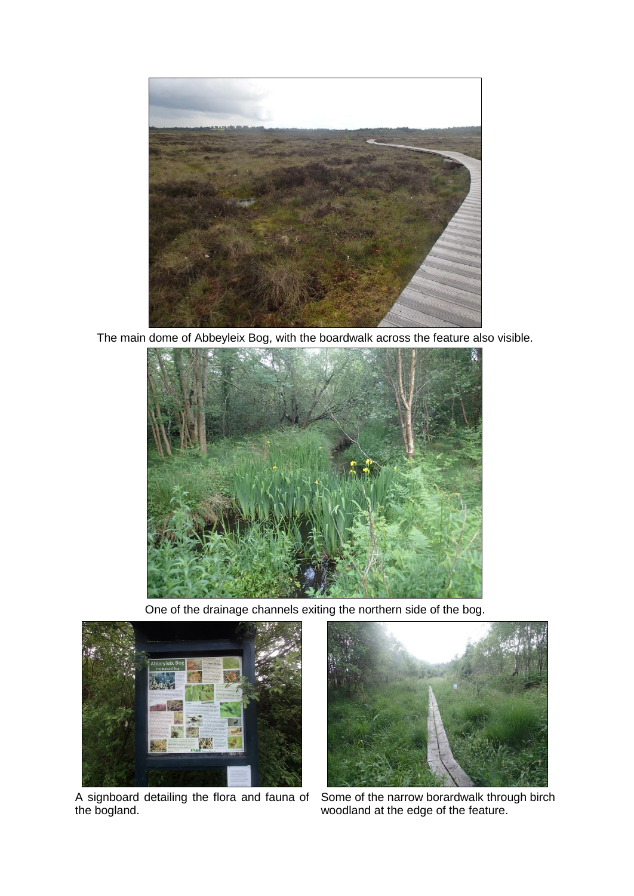

The main dome of Abbeyleix Bog, with the boardwalk across the feature also visible.



One of the drainage channels exiting the northern side of the bog.



A signboard detailing the flora and fauna of the bogland.



Some of the narrow borardwalk through birch woodland at the edge of the feature.